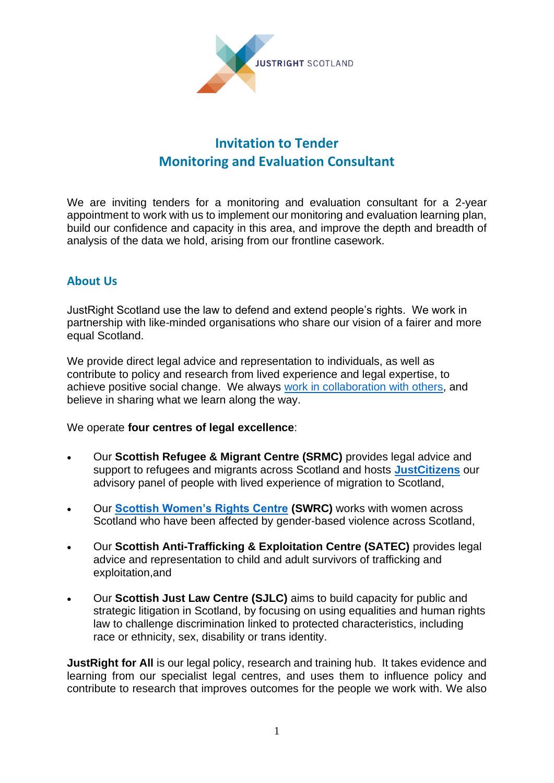

# **Invitation to Tender Monitoring and Evaluation Consultant**

We are inviting tenders for a monitoring and evaluation consultant for a 2-year appointment to work with us to implement our monitoring and evaluation learning plan, build our confidence and capacity in this area, and improve the depth and breadth of analysis of the data we hold, arising from our frontline casework.

# **About Us**

JustRight Scotland use the law to defend and extend people's rights. We work in partnership with like-minded organisations who share our vision of a fairer and more equal Scotland.

We provide direct legal advice and representation to individuals, as well as contribute to policy and research from lived experience and legal expertise, to achieve positive social change. We always [work in collaboration with others,](https://www.justrightscotland.org.uk/who-we-are/our-partners/) and believe in sharing what we learn along the way.

We operate **four centres of legal excellence**:

- Our **Scottish Refugee & Migrant Centre (SRMC)** provides legal advice and support to refugees and migrants across Scotland and hosts **[JustCitizens](http://www.justcitizens.scot/)** our advisory panel of people with lived experience of migration to Scotland,
- Our **Scottish Women's Rights Centre (SWRC)** works with women across Scotland who have been affected by gender-based violence across Scotland,
- Our **Scottish Anti-Trafficking & Exploitation Centre (SATEC)** provides legal advice and representation to child and adult survivors of trafficking and exploitation,and
- Our **Scottish Just Law Centre (SJLC)** aims to build capacity for public and strategic litigation in Scotland, by focusing on using equalities and human rights law to challenge discrimination linked to protected characteristics, including race or ethnicity, sex, disability or trans identity.

**JustRight for All** is our legal policy, research and training hub. It takes evidence and learning from our specialist legal centres, and uses them to influence policy and contribute to research that improves outcomes for the people we work with. We also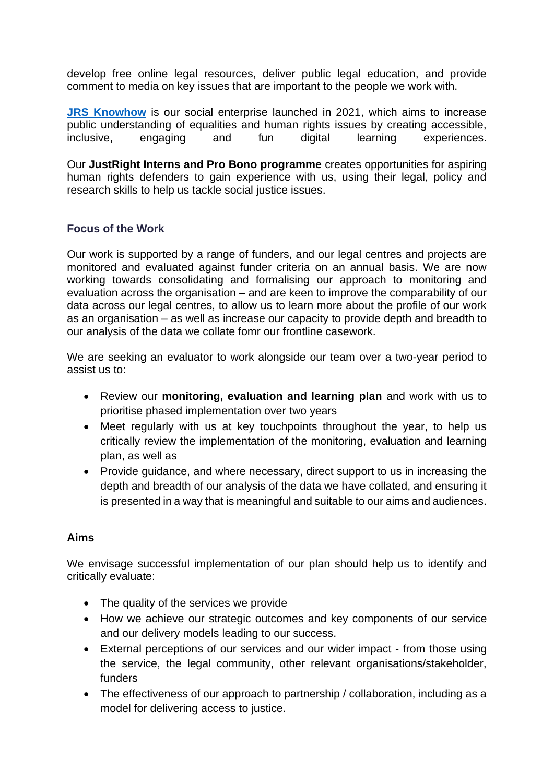develop free online legal resources, deliver public legal education, and provide comment to media on key issues that are important to the people we work with.

**[JRS Knowhow](https://jrsknowhow.org/)** is our social enterprise launched in 2021, which aims to increase public understanding of equalities and human rights issues by creating accessible, inclusive, engaging and fun digital learning experiences.

Our **JustRight Interns and Pro Bono programme** creates opportunities for aspiring human rights defenders to gain experience with us, using their legal, policy and research skills to help us tackle social justice issues.

## **Focus of the Work**

Our work is supported by a range of funders, and our legal centres and projects are monitored and evaluated against funder criteria on an annual basis. We are now working towards consolidating and formalising our approach to monitoring and evaluation across the organisation – and are keen to improve the comparability of our data across our legal centres, to allow us to learn more about the profile of our work as an organisation – as well as increase our capacity to provide depth and breadth to our analysis of the data we collate fomr our frontline casework.

We are seeking an evaluator to work alongside our team over a two-year period to assist us to:

- Review our **monitoring, evaluation and learning plan** and work with us to prioritise phased implementation over two years
- Meet regularly with us at key touchpoints throughout the year, to help us critically review the implementation of the monitoring, evaluation and learning plan, as well as
- Provide guidance, and where necessary, direct support to us in increasing the depth and breadth of our analysis of the data we have collated, and ensuring it is presented in a way that is meaningful and suitable to our aims and audiences.

## **Aims**

We envisage successful implementation of our plan should help us to identify and critically evaluate:

- The quality of the services we provide
- How we achieve our strategic outcomes and key components of our service and our delivery models leading to our success.
- External perceptions of our services and our wider impact from those using the service, the legal community, other relevant organisations/stakeholder, funders
- The effectiveness of our approach to partnership / collaboration, including as a model for delivering access to justice.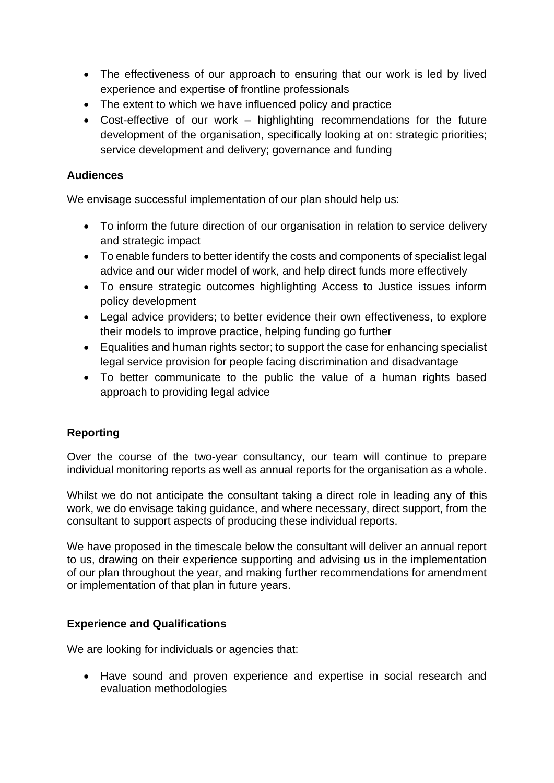- The effectiveness of our approach to ensuring that our work is led by lived experience and expertise of frontline professionals
- The extent to which we have influenced policy and practice
- Cost-effective of our work highlighting recommendations for the future development of the organisation, specifically looking at on: strategic priorities; service development and delivery; governance and funding

#### **Audiences**

We envisage successful implementation of our plan should help us:

- To inform the future direction of our organisation in relation to service delivery and strategic impact
- To enable funders to better identify the costs and components of specialist legal advice and our wider model of work, and help direct funds more effectively
- To ensure strategic outcomes highlighting Access to Justice issues inform policy development
- Legal advice providers; to better evidence their own effectiveness, to explore their models to improve practice, helping funding go further
- Equalities and human rights sector; to support the case for enhancing specialist legal service provision for people facing discrimination and disadvantage
- To better communicate to the public the value of a human rights based approach to providing legal advice

## **Reporting**

Over the course of the two-year consultancy, our team will continue to prepare individual monitoring reports as well as annual reports for the organisation as a whole.

Whilst we do not anticipate the consultant taking a direct role in leading any of this work, we do envisage taking guidance, and where necessary, direct support, from the consultant to support aspects of producing these individual reports.

We have proposed in the timescale below the consultant will deliver an annual report to us, drawing on their experience supporting and advising us in the implementation of our plan throughout the year, and making further recommendations for amendment or implementation of that plan in future years.

## **Experience and Qualifications**

We are looking for individuals or agencies that:

• Have sound and proven experience and expertise in social research and evaluation methodologies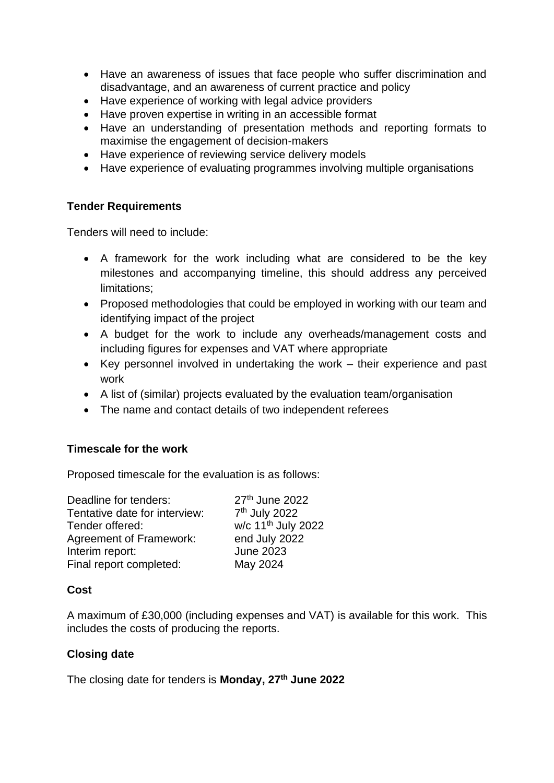- Have an awareness of issues that face people who suffer discrimination and disadvantage, and an awareness of current practice and policy
- Have experience of working with legal advice providers
- Have proven expertise in writing in an accessible format
- Have an understanding of presentation methods and reporting formats to maximise the engagement of decision-makers
- Have experience of reviewing service delivery models
- Have experience of evaluating programmes involving multiple organisations

## **Tender Requirements**

Tenders will need to include:

- A framework for the work including what are considered to be the key milestones and accompanying timeline, this should address any perceived limitations;
- Proposed methodologies that could be employed in working with our team and identifying impact of the project
- A budget for the work to include any overheads/management costs and including figures for expenses and VAT where appropriate
- Key personnel involved in undertaking the work their experience and past work
- A list of (similar) projects evaluated by the evaluation team/organisation
- The name and contact details of two independent referees

## **Timescale for the work**

Proposed timescale for the evaluation is as follows:

| Deadline for tenders:          | 27th June 2022                 |
|--------------------------------|--------------------------------|
| Tentative date for interview:  | 7 <sup>th</sup> July 2022      |
| Tender offered:                | w/c 11 <sup>th</sup> July 2022 |
| <b>Agreement of Framework:</b> | end July 2022                  |
| Interim report:                | <b>June 2023</b>               |
| Final report completed:        | May 2024                       |
|                                |                                |

## **Cost**

A maximum of £30,000 (including expenses and VAT) is available for this work. This includes the costs of producing the reports.

## **Closing date**

The closing date for tenders is **Monday, 27 th June 2022**